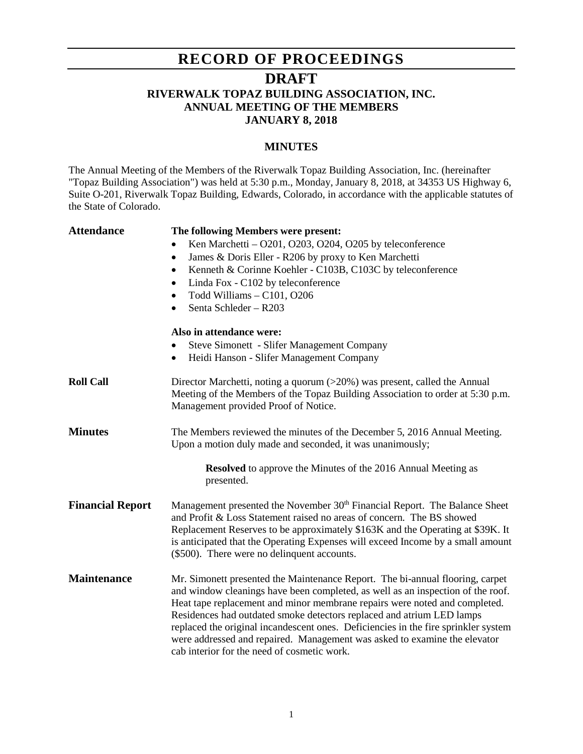## **RECORD OF PROCEEDINGS**

### **DRAFT**

#### **RIVERWALK TOPAZ BUILDING ASSOCIATION, INC. ANNUAL MEETING OF THE MEMBERS JANUARY 8, 2018**

#### **MINUTES**

The Annual Meeting of the Members of the Riverwalk Topaz Building Association, Inc. (hereinafter "Topaz Building Association") was held at 5:30 p.m., Monday, January 8, 2018, at 34353 US Highway 6, Suite O-201, Riverwalk Topaz Building, Edwards, Colorado, in accordance with the applicable statutes of the State of Colorado.

| <b>Attendance</b>       | The following Members were present:                                                                                                                                                                                                                                                                                                                                                                                                                                                                                                       |
|-------------------------|-------------------------------------------------------------------------------------------------------------------------------------------------------------------------------------------------------------------------------------------------------------------------------------------------------------------------------------------------------------------------------------------------------------------------------------------------------------------------------------------------------------------------------------------|
|                         | Ken Marchetti $-$ O201, O203, O204, O205 by teleconference                                                                                                                                                                                                                                                                                                                                                                                                                                                                                |
|                         | James & Doris Eller - R206 by proxy to Ken Marchetti<br>٠                                                                                                                                                                                                                                                                                                                                                                                                                                                                                 |
|                         | Kenneth & Corinne Koehler - C103B, C103C by teleconference<br>$\bullet$                                                                                                                                                                                                                                                                                                                                                                                                                                                                   |
|                         | Linda Fox - C102 by teleconference<br>$\bullet$                                                                                                                                                                                                                                                                                                                                                                                                                                                                                           |
|                         | Todd Williams - C101, O206<br>٠                                                                                                                                                                                                                                                                                                                                                                                                                                                                                                           |
|                         | Senta Schleder - R203                                                                                                                                                                                                                                                                                                                                                                                                                                                                                                                     |
|                         | Also in attendance were:                                                                                                                                                                                                                                                                                                                                                                                                                                                                                                                  |
|                         | <b>Steve Simonett - Slifer Management Company</b>                                                                                                                                                                                                                                                                                                                                                                                                                                                                                         |
|                         | Heidi Hanson - Slifer Management Company<br>$\bullet$                                                                                                                                                                                                                                                                                                                                                                                                                                                                                     |
| <b>Roll Call</b>        | Director Marchetti, noting a quorum $(>20%)$ was present, called the Annual<br>Meeting of the Members of the Topaz Building Association to order at 5:30 p.m.<br>Management provided Proof of Notice.                                                                                                                                                                                                                                                                                                                                     |
|                         |                                                                                                                                                                                                                                                                                                                                                                                                                                                                                                                                           |
| <b>Minutes</b>          | The Members reviewed the minutes of the December 5, 2016 Annual Meeting.<br>Upon a motion duly made and seconded, it was unanimously;                                                                                                                                                                                                                                                                                                                                                                                                     |
|                         | <b>Resolved</b> to approve the Minutes of the 2016 Annual Meeting as<br>presented.                                                                                                                                                                                                                                                                                                                                                                                                                                                        |
| <b>Financial Report</b> | Management presented the November 30th Financial Report. The Balance Sheet<br>and Profit & Loss Statement raised no areas of concern. The BS showed<br>Replacement Reserves to be approximately \$163K and the Operating at \$39K. It<br>is anticipated that the Operating Expenses will exceed Income by a small amount<br>(\$500). There were no delinquent accounts.                                                                                                                                                                   |
| <b>Maintenance</b>      | Mr. Simonett presented the Maintenance Report. The bi-annual flooring, carpet<br>and window cleanings have been completed, as well as an inspection of the roof.<br>Heat tape replacement and minor membrane repairs were noted and completed.<br>Residences had outdated smoke detectors replaced and atrium LED lamps<br>replaced the original incandescent ones. Deficiencies in the fire sprinkler system<br>were addressed and repaired. Management was asked to examine the elevator<br>cab interior for the need of cosmetic work. |